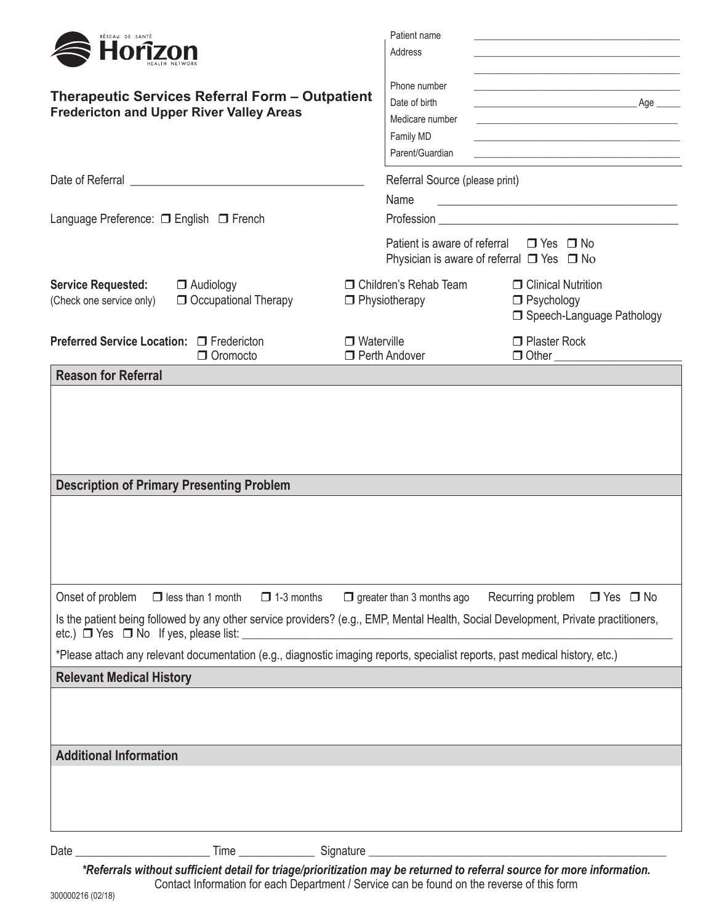| RÉSEAU DE SANTÉ<br>Horîzon                                                                         |                                                                                                                              | Patient name<br>Address                   | the control of the control of the control of the control of the control of the control of<br><u> 1989 - Andrea Stadt Britain, amerikansk politiker (d. 1989)</u> |                                                                                                                                                                                                                                                                                                                                                                                                                                         |  |
|----------------------------------------------------------------------------------------------------|------------------------------------------------------------------------------------------------------------------------------|-------------------------------------------|------------------------------------------------------------------------------------------------------------------------------------------------------------------|-----------------------------------------------------------------------------------------------------------------------------------------------------------------------------------------------------------------------------------------------------------------------------------------------------------------------------------------------------------------------------------------------------------------------------------------|--|
| Therapeutic Services Referral Form - Outpatient<br><b>Fredericton and Upper River Valley Areas</b> |                                                                                                                              |                                           | Phone number<br>Date of birth<br>Medicare number<br>Family MD<br>Parent/Guardian                                                                                 | the control of the control of the control of the control of the control of the control of<br>the control of the control of the control of the control of the control of the control of<br><u> 1989 - Johann John Stein, market fan it ferskearre fan it ferskearre fan it ferskearre fan it ferskearre fan</u><br><u> 1989 - Johann Harry Harry Harry Harry Harry Harry Harry Harry Harry Harry Harry Harry Harry Harry Harry Harry</u> |  |
|                                                                                                    |                                                                                                                              |                                           | Referral Source (please print)                                                                                                                                   |                                                                                                                                                                                                                                                                                                                                                                                                                                         |  |
| Language Preference: □ English □ French                                                            |                                                                                                                              |                                           | Name                                                                                                                                                             |                                                                                                                                                                                                                                                                                                                                                                                                                                         |  |
|                                                                                                    |                                                                                                                              |                                           | Patient is aware of referral $\Box$ Yes $\Box$ No<br>Physician is aware of referral $\Box$ Yes $\Box$ No                                                         |                                                                                                                                                                                                                                                                                                                                                                                                                                         |  |
| <b>Service Requested:</b><br>(Check one service only)                                              | $\Box$ Audiology<br>Occupational Therapy                                                                                     | $\Box$ Physiotherapy                      | □ Children's Rehab Team                                                                                                                                          | <b>O</b> Clinical Nutrition<br>$\Box$ Psychology<br>□ Speech-Language Pathology                                                                                                                                                                                                                                                                                                                                                         |  |
| Preferred Service Location: □ Fredericton                                                          | $\Box$ Oromocto                                                                                                              | $\Box$ Waterville<br>$\Box$ Perth Andover |                                                                                                                                                                  | $\Box$ Plaster Rock                                                                                                                                                                                                                                                                                                                                                                                                                     |  |
| <b>Reason for Referral</b>                                                                         |                                                                                                                              |                                           |                                                                                                                                                                  |                                                                                                                                                                                                                                                                                                                                                                                                                                         |  |
| <b>Description of Primary Presenting Problem</b>                                                   |                                                                                                                              |                                           |                                                                                                                                                                  |                                                                                                                                                                                                                                                                                                                                                                                                                                         |  |
| Onset of problem                                                                                   | $\Box$ less than 1 month<br>$\Box$ 1-3 months                                                                                |                                           | $\Box$ greater than 3 months ago                                                                                                                                 | Recurring problem $\Box$ Yes $\Box$ No                                                                                                                                                                                                                                                                                                                                                                                                  |  |
|                                                                                                    |                                                                                                                              |                                           |                                                                                                                                                                  | Is the patient being followed by any other service providers? (e.g., EMP, Mental Health, Social Development, Private practitioners,                                                                                                                                                                                                                                                                                                     |  |
|                                                                                                    | *Please attach any relevant documentation (e.g., diagnostic imaging reports, specialist reports, past medical history, etc.) |                                           |                                                                                                                                                                  |                                                                                                                                                                                                                                                                                                                                                                                                                                         |  |
| <b>Relevant Medical History</b><br><b>Additional Information</b>                                   |                                                                                                                              |                                           |                                                                                                                                                                  |                                                                                                                                                                                                                                                                                                                                                                                                                                         |  |
|                                                                                                    |                                                                                                                              |                                           |                                                                                                                                                                  |                                                                                                                                                                                                                                                                                                                                                                                                                                         |  |
| Date $\_\_$                                                                                        | $Time \_\_\_\_\_\_\$                                                                                                         | Signature _                               |                                                                                                                                                                  |                                                                                                                                                                                                                                                                                                                                                                                                                                         |  |

*\*Referrals without sufficient detail for triage/prioritization may be returned to referral source for more information.* Contact Information for each Department / Service can be found on the reverse of this form